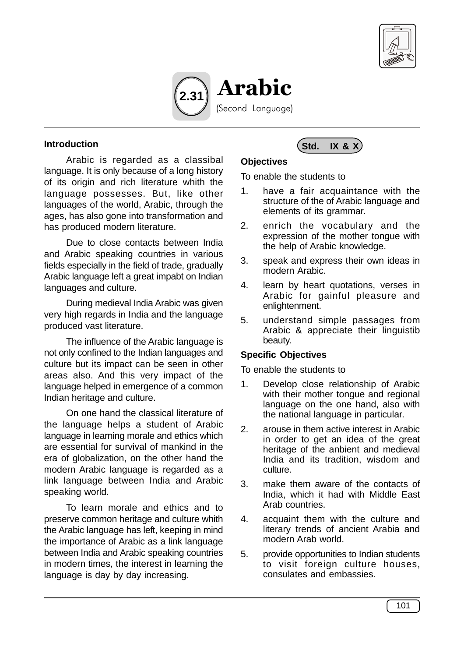



#### **Introduction**

Arabic is regarded as a classibal language. It is only because of a long history of its origin and rich literature whith the language possesses. But, like other languages of the world, Arabic, through the ages, has also gone into transformation and has produced modern literature.

Due to close contacts between India and Arabic speaking countries in various fields especially in the field of trade, gradually Arabic language left a great impabt on Indian languages and culture.

During medieval India Arabic was given very high regards in India and the language produced vast literature.

The influence of the Arabic language is not only confined to the Indian languages and culture but its impact can be seen in other areas also. And this very impact of the language helped in emergence of a common Indian heritage and culture.

On one hand the classical literature of the language helps a student of Arabic language in learning morale and ethics which are essential for survival of mankind in the era of globalization, on the other hand the modern Arabic language is regarded as a link language between India and Arabic speaking world.

To learn morale and ethics and to preserve common heritage and culture whith the Arabic language has left, keeping in mind the importance of Arabic as a link language between India and Arabic speaking countries in modern times, the interest in learning the language is day by day increasing.

# **Std. IX & X**

## **Objectives**

To enable the students to

- 1. have a fair acquaintance with the structure of the of Arabic language and elements of its grammar.
- 2. enrich the vocabulary and the expression of the mother tongue with the help of Arabic knowledge.
- 3. speak and express their own ideas in modern Arabic.
- 4. learn by heart quotations, verses in Arabic for gainful pleasure and enlightenment.
- 5. understand simple passages from Arabic & appreciate their linguistib beauty.

### **Specific Objectives**

To enable the students to

- 1. Develop close relationship of Arabic with their mother tongue and regional language on the one hand, also with the national language in particular.
- 2. arouse in them active interest in Arabic in order to get an idea of the great heritage of the anbient and medieval India and its tradition, wisdom and culture.
- 3. make them aware of the contacts of India, which it had with Middle East Arab countries.
- 4. acquaint them with the culture and literary trends of ancient Arabia and modern Arab world.
- 5. provide opportunities to Indian students to visit foreign culture houses, consulates and embassies.